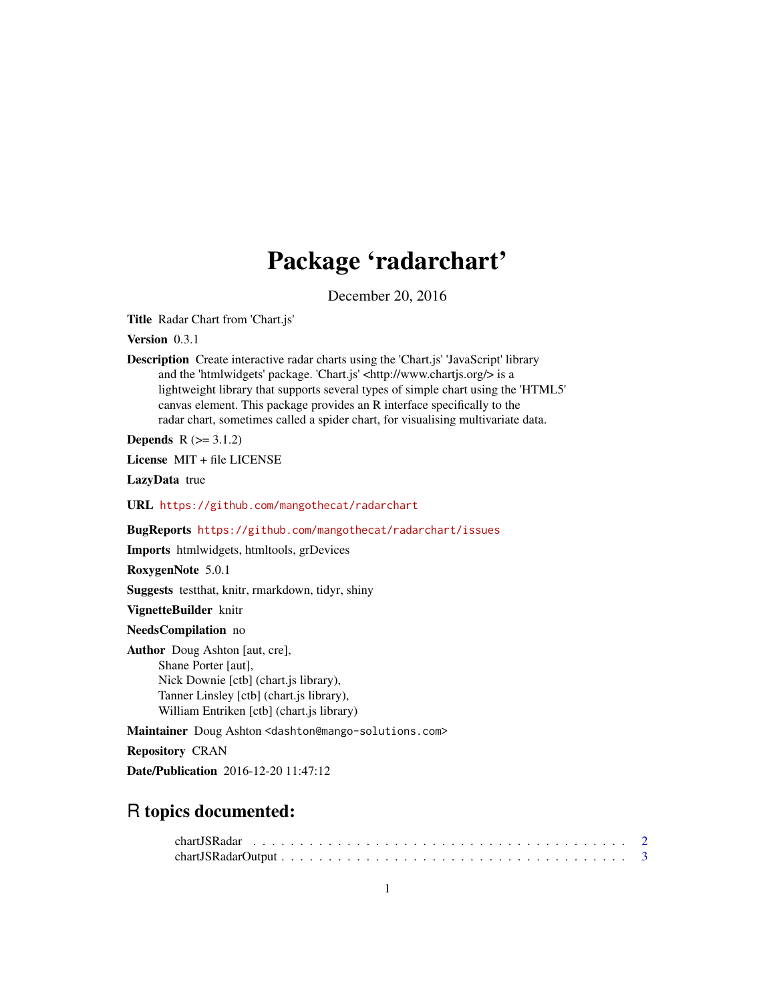## Package 'radarchart'

December 20, 2016

<span id="page-0-0"></span>Title Radar Chart from 'Chart.js'

Version 0.3.1

Description Create interactive radar charts using the 'Chart.js' 'JavaScript' library and the 'htmlwidgets' package. 'Chart.js' <http://www.chartjs.org/> is a lightweight library that supports several types of simple chart using the 'HTML5' canvas element. This package provides an R interface specifically to the radar chart, sometimes called a spider chart, for visualising multivariate data.

**Depends**  $R (= 3.1.2)$ 

License MIT + file LICENSE

LazyData true

URL <https://github.com/mangothecat/radarchart>

BugReports <https://github.com/mangothecat/radarchart/issues>

Imports htmlwidgets, htmltools, grDevices

RoxygenNote 5.0.1

Suggests testthat, knitr, rmarkdown, tidyr, shiny

VignetteBuilder knitr

NeedsCompilation no

Author Doug Ashton [aut, cre], Shane Porter [aut], Nick Downie [ctb] (chart.js library), Tanner Linsley [ctb] (chart.js library), William Entriken [ctb] (chart.js library)

Maintainer Doug Ashton <dashton@mango-solutions.com>

Repository CRAN

Date/Publication 2016-12-20 11:47:12

### R topics documented: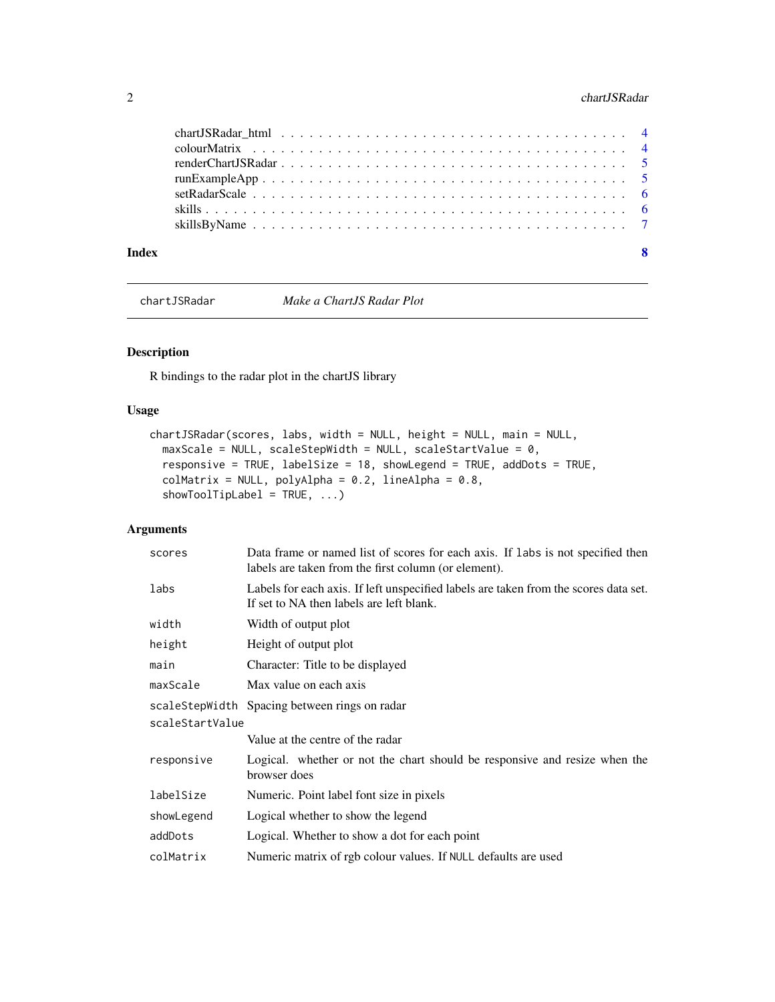#### <span id="page-1-0"></span>2 chartJSRadar

| Index | $\overline{\mathbf{8}}$ |
|-------|-------------------------|

<span id="page-1-1"></span>chartJSRadar *Make a ChartJS Radar Plot*

#### Description

R bindings to the radar plot in the chartJS library

#### Usage

```
chartJSRadar(scores, labs, width = NULL, height = NULL, main = NULL,
 maxScale = NULL, scaleStepWidth = NULL, scaleStartValue = 0,
 responsive = TRUE, labelSize = 18, showLegend = TRUE, addDots = TRUE,
  collMatrix = NULL, polyAlpha = 0.2, lineAlpha = 0.8,showToolTipLabel = TRUE, ...)
```
#### Arguments

| scores          | Data frame or named list of scores for each axis. If labs is not specified then<br>labels are taken from the first column (or element). |  |  |  |  |  |
|-----------------|-----------------------------------------------------------------------------------------------------------------------------------------|--|--|--|--|--|
| labs            | Labels for each axis. If left unspecified labels are taken from the scores data set.<br>If set to NA then labels are left blank.        |  |  |  |  |  |
| width           | Width of output plot                                                                                                                    |  |  |  |  |  |
| height          | Height of output plot                                                                                                                   |  |  |  |  |  |
| main            | Character: Title to be displayed                                                                                                        |  |  |  |  |  |
| maxScale        | Max value on each axis                                                                                                                  |  |  |  |  |  |
|                 | scaleStepWidth Spacing between rings on radar                                                                                           |  |  |  |  |  |
| scaleStartValue |                                                                                                                                         |  |  |  |  |  |
|                 | Value at the centre of the radar                                                                                                        |  |  |  |  |  |
| responsive      | Logical. whether or not the chart should be responsive and resize when the<br>browser does                                              |  |  |  |  |  |
| labelSize       | Numeric. Point label font size in pixels                                                                                                |  |  |  |  |  |
| showLegend      | Logical whether to show the legend                                                                                                      |  |  |  |  |  |
| addDots         | Logical. Whether to show a dot for each point                                                                                           |  |  |  |  |  |
| colMatrix       | Numeric matrix of rgb colour values. If NULL defaults are used                                                                          |  |  |  |  |  |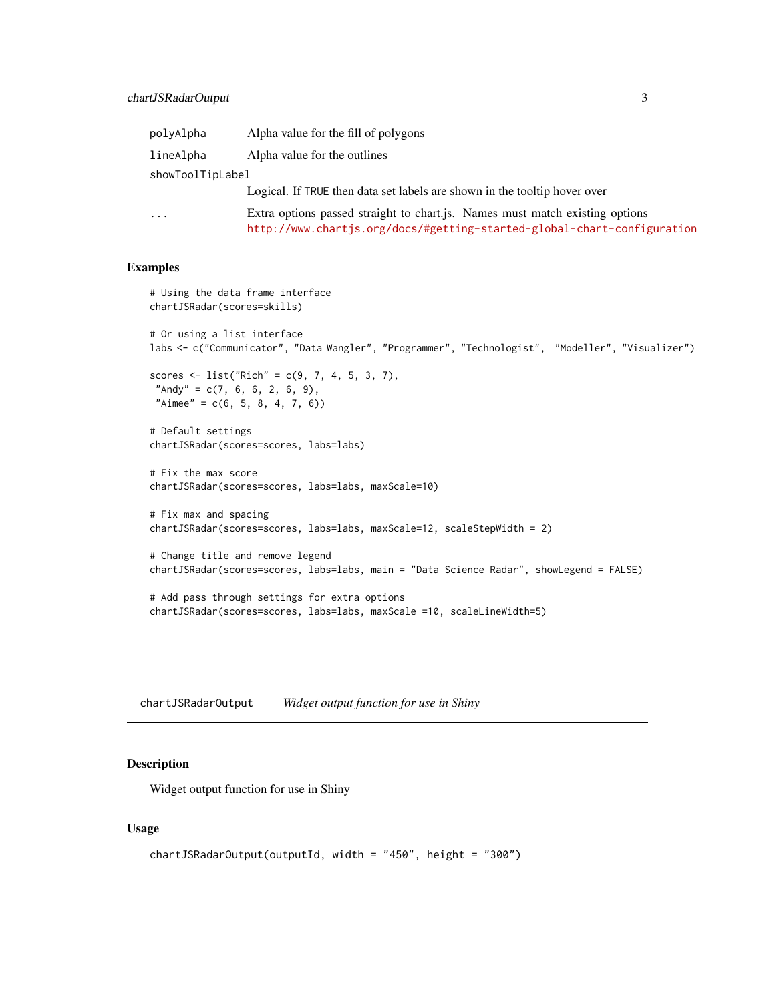<span id="page-2-0"></span>

| polyAlpha        | Alpha value for the fill of polygons                                                                                                                    |
|------------------|---------------------------------------------------------------------------------------------------------------------------------------------------------|
| lineAlpha        | Alpha value for the outlines                                                                                                                            |
| showToolTipLabel |                                                                                                                                                         |
|                  | Logical. If TRUE then data set labels are shown in the tooltip hover over                                                                               |
| $\cdots$         | Extra options passed straight to chart.js. Names must match existing options<br>http://www.chartjs.org/docs/#getting-started-global-chart-configuration |

#### Examples

```
# Using the data frame interface
chartJSRadar(scores=skills)
# Or using a list interface
labs <- c("Communicator", "Data Wangler", "Programmer", "Technologist", "Modeller", "Visualizer")
scores <- list("Rich" = c(9, 7, 4, 5, 3, 7),
 "Andy" = c(7, 6, 6, 2, 6, 9),
 "Aimee" = c(6, 5, 8, 4, 7, 6))# Default settings
chartJSRadar(scores=scores, labs=labs)
# Fix the max score
chartJSRadar(scores=scores, labs=labs, maxScale=10)
# Fix max and spacing
chartJSRadar(scores=scores, labs=labs, maxScale=12, scaleStepWidth = 2)
# Change title and remove legend
chartJSRadar(scores=scores, labs=labs, main = "Data Science Radar", showLegend = FALSE)
# Add pass through settings for extra options
chartJSRadar(scores=scores, labs=labs, maxScale =10, scaleLineWidth=5)
```
chartJSRadarOutput *Widget output function for use in Shiny*

#### Description

Widget output function for use in Shiny

#### Usage

```
chartJSRadarOutput(outputId, width = "450", height = "300")
```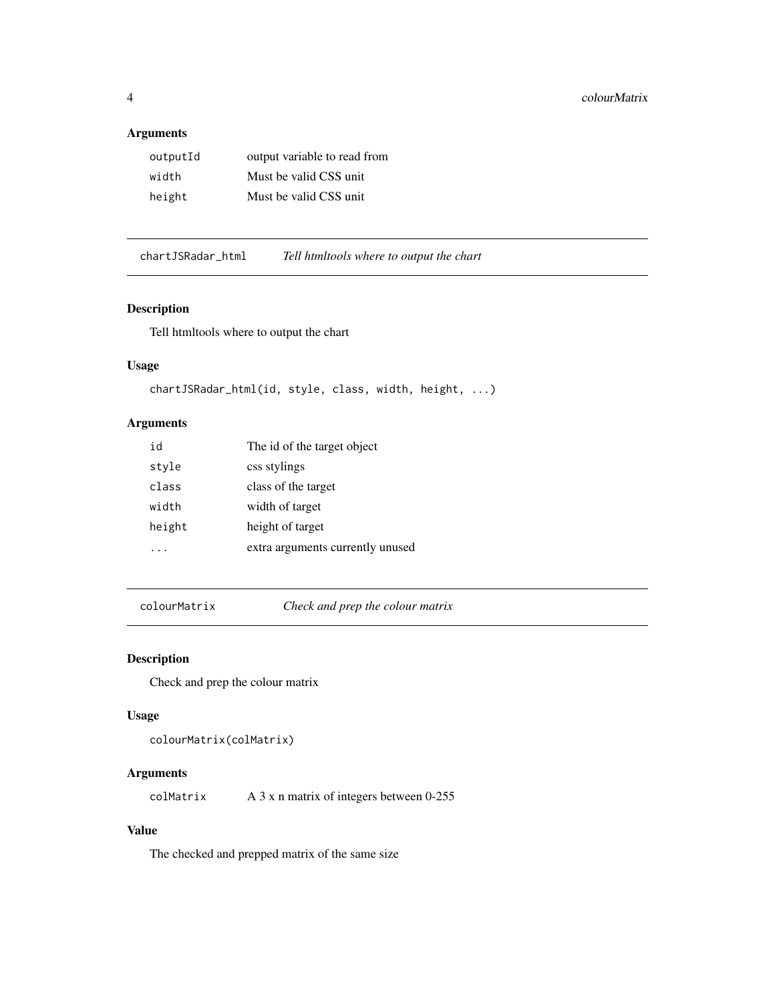#### <span id="page-3-0"></span>Arguments

| outputId | output variable to read from |
|----------|------------------------------|
| width    | Must be valid CSS unit       |
| height   | Must be valid CSS unit.      |

chartJSRadar\_html *Tell htmltools where to output the chart*

#### Description

Tell htmltools where to output the chart

#### Usage

```
chartJSRadar_html(id, style, class, width, height, ...)
```
#### Arguments

| id     | The id of the target object      |
|--------|----------------------------------|
| style  | css stylings                     |
| class  | class of the target              |
| width  | width of target                  |
| height | height of target                 |
|        | extra arguments currently unused |

colourMatrix *Check and prep the colour matrix*

#### Description

Check and prep the colour matrix

#### Usage

```
colourMatrix(colMatrix)
```
#### Arguments

colMatrix A 3 x n matrix of integers between 0-255

#### Value

The checked and prepped matrix of the same size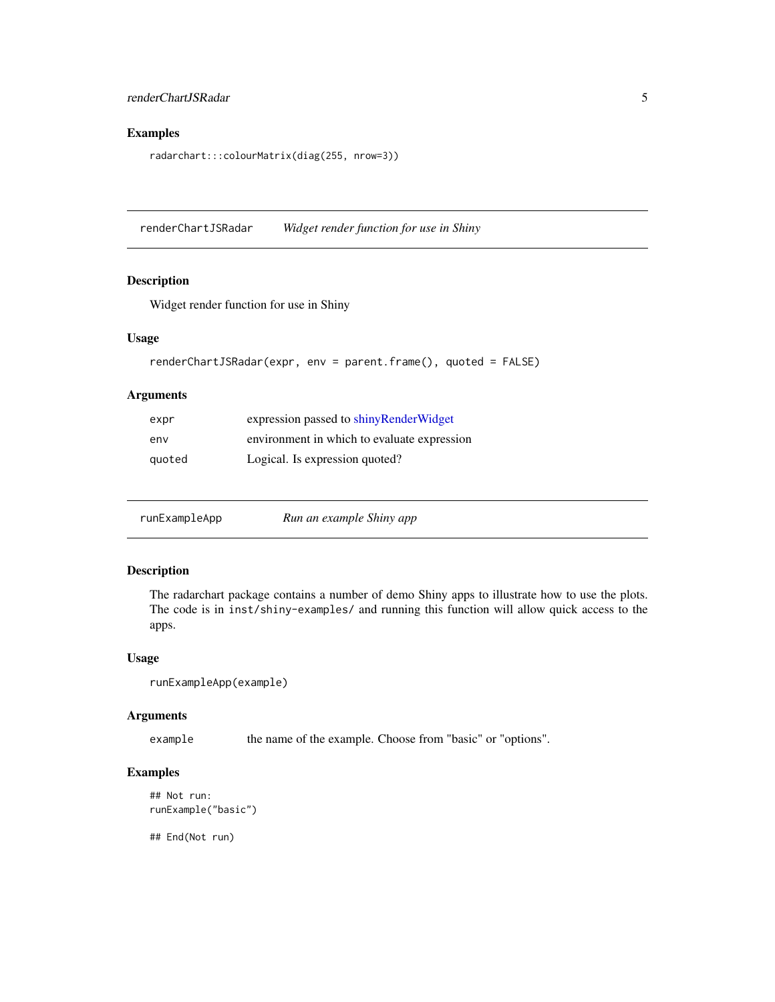#### <span id="page-4-0"></span>Examples

radarchart:::colourMatrix(diag(255, nrow=3))

renderChartJSRadar *Widget render function for use in Shiny*

#### Description

Widget render function for use in Shiny

#### Usage

```
renderChartJSRadar(expr, env = parent.frame(), quoted = FALSE)
```
#### Arguments

| expr   | expression passed to shinyRenderWidget      |
|--------|---------------------------------------------|
| env    | environment in which to evaluate expression |
| quoted | Logical. Is expression quoted?              |

runExampleApp *Run an example Shiny app*

#### Description

The radarchart package contains a number of demo Shiny apps to illustrate how to use the plots. The code is in inst/shiny-examples/ and running this function will allow quick access to the apps.

#### Usage

```
runExampleApp(example)
```
#### Arguments

example the name of the example. Choose from "basic" or "options".

#### Examples

```
## Not run:
runExample("basic")
```
## End(Not run)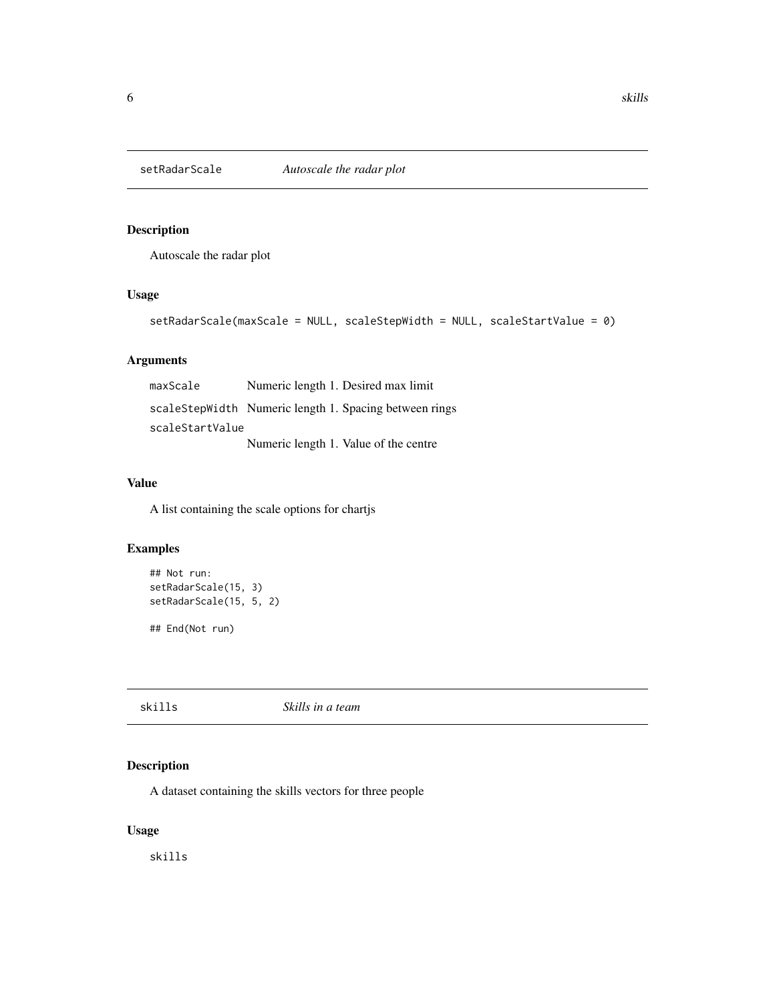<span id="page-5-0"></span>

#### Description

Autoscale the radar plot

#### Usage

```
setRadarScale(maxScale = NULL, scaleStepWidth = NULL, scaleStartValue = 0)
```
#### Arguments

maxScale Numeric length 1. Desired max limit scaleStepWidth Numeric length 1. Spacing between rings scaleStartValue Numeric length 1. Value of the centre

#### Value

A list containing the scale options for chartjs

#### Examples

```
## Not run:
setRadarScale(15, 3)
setRadarScale(15, 5, 2)
```
## End(Not run)

#### skills *Skills in a team*

#### Description

A dataset containing the skills vectors for three people

#### Usage

skills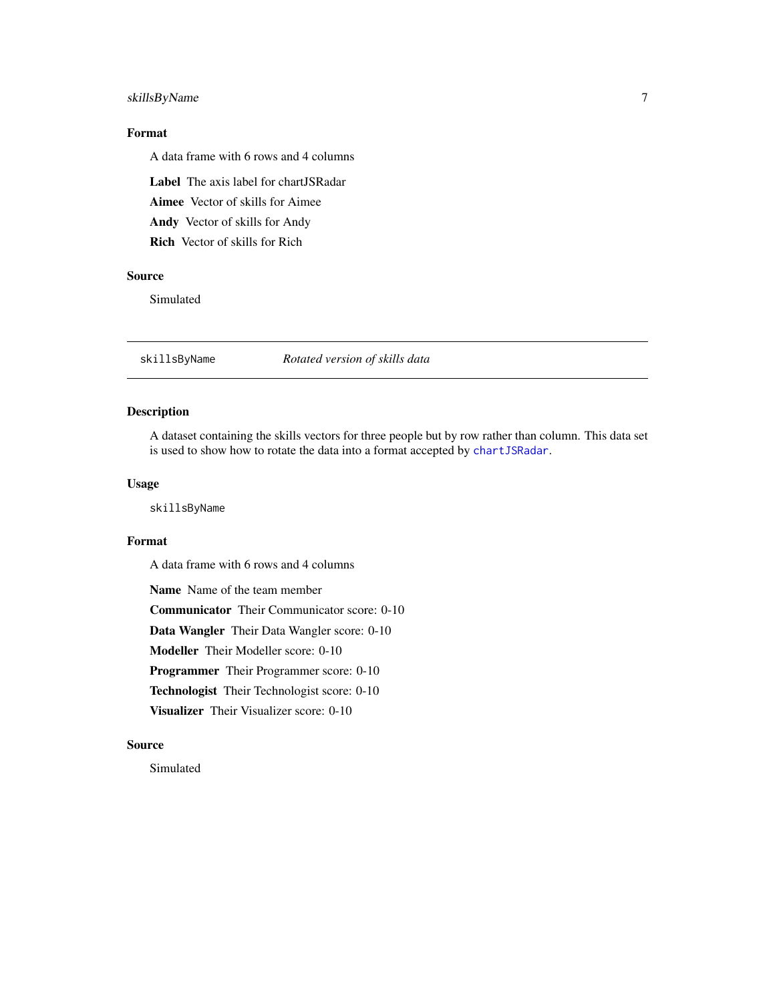#### <span id="page-6-0"></span>skillsByName 7

#### Format

A data frame with 6 rows and 4 columns

Label The axis label for chartJSRadar

Aimee Vector of skills for Aimee

Andy Vector of skills for Andy

Rich Vector of skills for Rich

#### Source

Simulated

skillsByName *Rotated version of skills data*

#### Description

A dataset containing the skills vectors for three people but by row rather than column. This data set is used to show how to rotate the data into a format accepted by [chartJSRadar](#page-1-1).

#### Usage

skillsByName

#### Format

A data frame with 6 rows and 4 columns

Name Name of the team member Communicator Their Communicator score: 0-10 Data Wangler Their Data Wangler score: 0-10 Modeller Their Modeller score: 0-10 Programmer Their Programmer score: 0-10 Technologist Their Technologist score: 0-10 Visualizer Their Visualizer score: 0-10

#### Source

Simulated